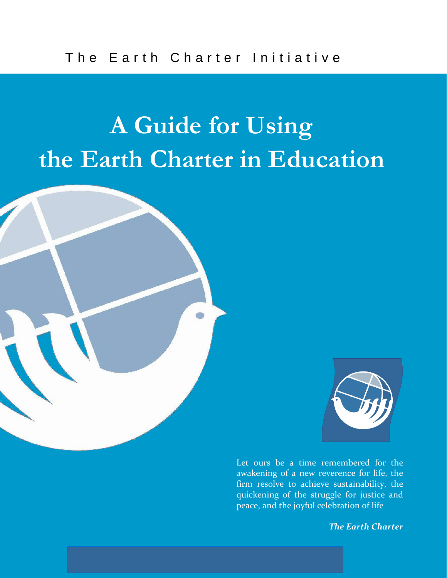### **A Guide for Using the Earth Charter in Education**





**Introduction 2** *Internal controlled the struggle for justice and* **<b>***Quickening of the struggle for justice and* Let ours be a time remembered for the awakening of a new reverence for life, the firm resolve to achieve sustainability, the peace, and the joyful celebration of life

*The Earth Charter*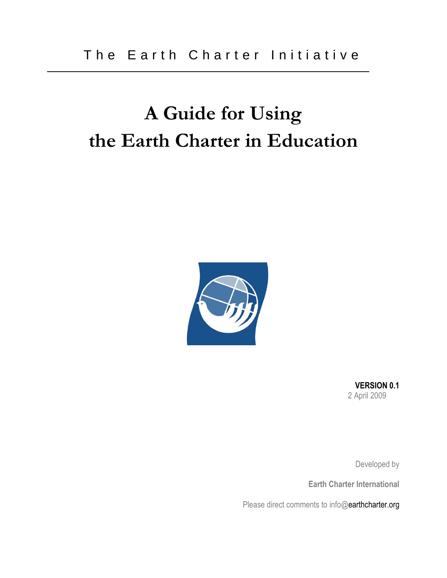#### **A Guide for Using the Earth Charter in Education**



**VERSION 0.1** 2 April 2009

Developed by

**Earth Charter International**

Please direct comments to info@earthcharter.org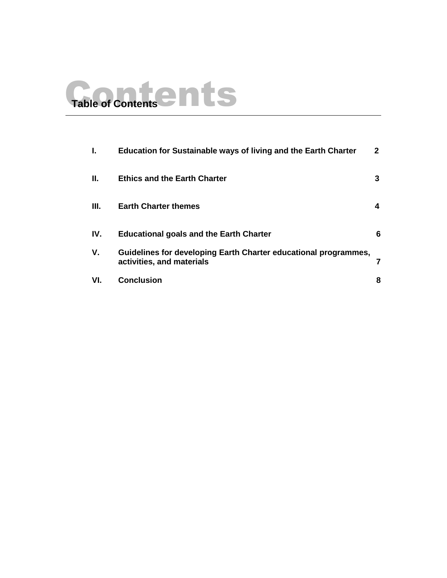# Table of Contents<sup>2</sup>

| ı.   | Education for Sustainable ways of living and the Earth Charter                               | 2 |
|------|----------------------------------------------------------------------------------------------|---|
| Ш.   | <b>Ethics and the Earth Charter</b>                                                          | 3 |
| III. | <b>Earth Charter themes</b>                                                                  | 4 |
| IV.  | <b>Educational goals and the Earth Charter</b>                                               | 6 |
| V.   | Guidelines for developing Earth Charter educational programmes,<br>activities, and materials |   |
| VI.  | <b>Conclusion</b>                                                                            | 8 |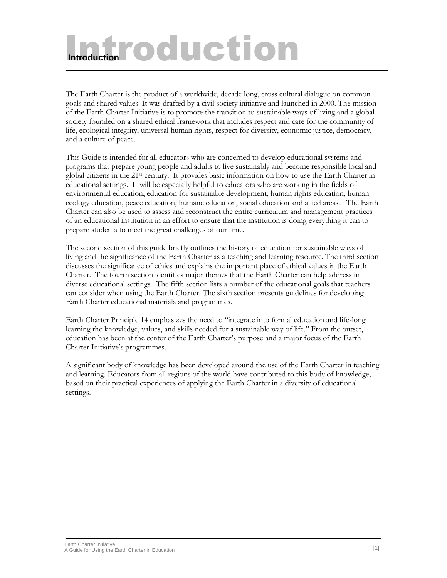## Introduction *<u>Introduction</u>*

The Earth Charter is the product of a worldwide, decade long, cross cultural dialogue on common goals and shared values. It was drafted by a civil society initiative and launched in 2000. The mission of the Earth Charter Initiative is to promote the transition to sustainable ways of living and a global society founded on a shared ethical framework that includes respect and care for the community of life, ecological integrity, universal human rights, respect for diversity, economic justice, democracy, and a culture of peace.

This Guide is intended for all educators who are concerned to develop educational systems and programs that prepare young people and adults to live sustainably and become responsible local and global citizens in the 21st century. It provides basic information on how to use the Earth Charter in educational settings. It will be especially helpful to educators who are working in the fields of environmental education, education for sustainable development, human rights education, human ecology education, peace education, humane education, social education and allied areas. The Earth Charter can also be used to assess and reconstruct the entire curriculum and management practices of an educational institution in an effort to ensure that the institution is doing everything it can to prepare students to meet the great challenges of our time.

The second section of this guide briefly outlines the history of education for sustainable ways of living and the significance of the Earth Charter as a teaching and learning resource. The third section discusses the significance of ethics and explains the important place of ethical values in the Earth Charter. The fourth section identifies major themes that the Earth Charter can help address in diverse educational settings. The fifth section lists a number of the educational goals that teachers can consider when using the Earth Charter. The sixth section presents guidelines for developing Earth Charter educational materials and programmes.

Earth Charter Principle 14 emphasizes the need to "integrate into formal education and life-long learning the knowledge, values, and skills needed for a sustainable way of life." From the outset, education has been at the center of the Earth Charter's purpose and a major focus of the Earth Charter Initiative's programmes.

A significant body of knowledge has been developed around the use of the Earth Charter in teaching and learning. Educators from all regions of the world have contributed to this body of knowledge, based on their practical experiences of applying the Earth Charter in a diversity of educational settings.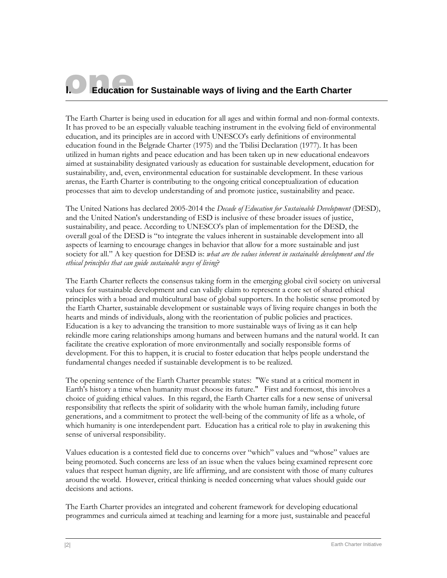#### **Education for Sustainable ways of living and the Earth Charter**

The Earth Charter is being used in education for all ages and within formal and non-formal contexts. It has proved to be an especially valuable teaching instrument in the evolving field of environmental education, and its principles are in accord with UNESCO's early definitions of environmental education found in the Belgrade Charter (1975) and the Tbilisi Declaration (1977). It has been utilized in human rights and peace education and has been taken up in new educational endeavors aimed at sustainability designated variously as education for sustainable development, education for sustainability, and, even, environmental education for sustainable development. In these various arenas, the Earth Charter is contributing to the ongoing critical conceptualization of education processes that aim to develop understanding of and promote justice, sustainability and peace.

The United Nations has declared 2005-2014 the *Decade of Education for Sustainable Development* (DESD), and the United Nation's understanding of ESD is inclusive of these broader issues of justice, sustainability, and peace. According to UNESCO's plan of implementation for the DESD, the overall goal of the DESD is "to integrate the values inherent in sustainable development into all aspects of learning to encourage changes in behavior that allow for a more sustainable and just society for all." A key question for DESD is: *what are the values inherent in sustainable development and the ethical principles that can guide sustainable ways of living*?

The Earth Charter reflects the consensus taking form in the emerging global civil society on universal values for sustainable development and can validly claim to represent a core set of shared ethical principles with a broad and multicultural base of global supporters. In the holistic sense promoted by the Earth Charter, sustainable development or sustainable ways of living require changes in both the hearts and minds of individuals, along with the reorientation of public policies and practices. Education is a key to advancing the transition to more sustainable ways of living as it can help rekindle more caring relationships among humans and between humans and the natural world. It can facilitate the creative exploration of more environmentally and socially responsible forms of development. For this to happen, it is crucial to foster education that helps people understand the fundamental changes needed if sustainable development is to be realized.

The opening sentence of the Earth Charter preamble states: "We stand at a critical moment in Earth's history a time when humanity must choose its future." First and foremost, this involves a choice of guiding ethical values. In this regard, the Earth Charter calls for a new sense of universal responsibility that reflects the spirit of solidarity with the whole human family, including future generations, and a commitment to protect the well-being of the community of life as a whole, of which humanity is one interdependent part. Education has a critical role to play in awakening this sense of universal responsibility.

Values education is a contested field due to concerns over "which" values and "whose" values are being promoted. Such concerns are less of an issue when the values being examined represent core values that respect human dignity, are life affirming, and are consistent with those of many cultures around the world. However, critical thinking is needed concerning what values should guide our decisions and actions.

The Earth Charter provides an integrated and coherent framework for developing educational programmes and curricula aimed at teaching and learning for a more just, sustainable and peaceful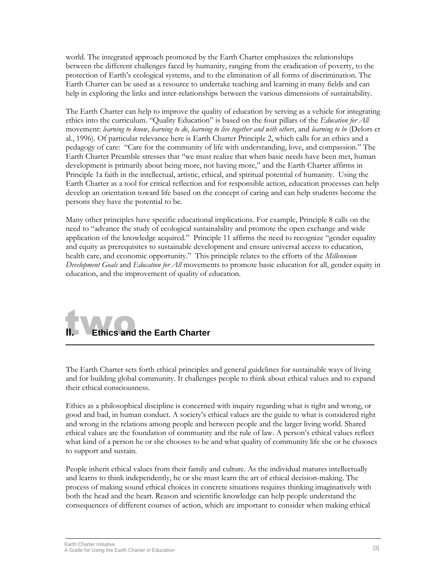world. The integrated approach promoted by the Earth Charter emphasizes the relationships between the different challenges faced by humanity, ranging from the eradication of poverty, to the protection of Earth's ecological systems, and to the elimination of all forms of discrimination. The Earth Charter can be used as a resource to undertake teaching and learning in many fields and can help in exploring the links and inter-relationships between the various dimensions of sustainability.

The Earth Charter can help to improve the quality of education by serving as a vehicle for integrating ethics into the curriculum. "Quality Education" is based on the four pillars of the *Education for All* movement: *learning to know*, *learning to do*, *learning to live together and with others*, and *learning to be* (Delors et al., 1996). Of particular relevance here is Earth Charter Principle 2, which calls for an ethics and a pedagogy of care: "Care for the community of life with understanding, love, and compassion." The Earth Charter Preamble stresses that "we must realize that when basic needs have been met, human development is primarily about being more, not having more," and the Earth Charter affirms in Principle 1a faith in the intellectual, artistic, ethical, and spiritual potential of humanity. Using the Earth Charter as a tool for critical reflection and for responsible action, education processes can help develop an orientation toward life based on the concept of caring and can help students become the persons they have the potential to be.

Many other principles have specific educational implications. For example, Principle 8 calls on the need to "advance the study of ecological sustainability and promote the open exchange and wide application of the knowledge acquired." Principle 11 affirms the need to recognize "gender equality and equity as prerequisites to sustainable development and ensure universal access to education, health care, and economic opportunity." This principle relates to the efforts of the *Millennium Development Goals* and *Education for All* movements to promote basic education for all, gender equity in education, and the improvement of quality of education.

### two **II. Ethics and the Earth Charter**

The Earth Charter sets forth ethical principles and general guidelines for sustainable ways of living and for building global community. It challenges people to think about ethical values and to expand their ethical consciousness.

Ethics as a philosophical discipline is concerned with inquiry regarding what is right and wrong, or good and bad, in human conduct. A society's ethical values are the guide to what is considered right and wrong in the relations among people and between people and the larger living world. Shared ethical values are the foundation of community and the rule of law. A person's ethical values reflect what kind of a person he or she chooses to be and what quality of community life she or he chooses to support and sustain.

People inherit ethical values from their family and culture. As the individual matures intellectually and learns to think independently, he or she must learn the art of ethical decision-making. The process of making sound ethical choices in concrete situations requires thinking imaginatively with both the head and the heart. Reason and scientific knowledge can help people understand the consequences of different courses of action, which are important to consider when making ethical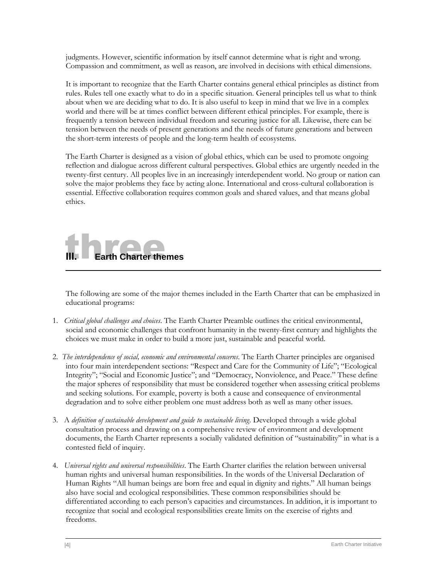judgments. However, scientific information by itself cannot determine what is right and wrong. Compassion and commitment, as well as reason, are involved in decisions with ethical dimensions.

It is important to recognize that the Earth Charter contains general ethical principles as distinct from rules. Rules tell one exactly what to do in a specific situation. General principles tell us what to think about when we are deciding what to do. It is also useful to keep in mind that we live in a complex world and there will be at times conflict between different ethical principles. For example, there is frequently a tension between individual freedom and securing justice for all. Likewise, there can be tension between the needs of present generations and the needs of future generations and between the short-term interests of people and the long-term health of ecosystems.

The Earth Charter is designed as a vision of global ethics, which can be used to promote ongoing reflection and dialogue across different cultural perspectives. Global ethics are urgently needed in the twenty-first century. All peoples live in an increasingly interdependent world. No group or nation can solve the major problems they face by acting alone. International and cross-cultural collaboration is essential. Effective collaboration requires common goals and shared values, and that means global ethics.



The following are some of the major themes included in the Earth Charter that can be emphasized in educational programs:

- 1. *Critical global challenges and choices*. The Earth Charter Preamble outlines the critical environmental, social and economic challenges that confront humanity in the twenty-first century and highlights the choices we must make in order to build a more just, sustainable and peaceful world.
- 2. *The interdependence of social, economic and environmental concerns*. The Earth Charter principles are organised into four main interdependent sections: "Respect and Care for the Community of Life"; "Ecological Integrity"; "Social and Economic Justice"; and "Democracy, Nonviolence, and Peace." These define the major spheres of responsibility that must be considered together when assessing critical problems and seeking solutions. For example, poverty is both a cause and consequence of environmental degradation and to solve either problem one must address both as well as many other issues.
- 3. A *definition of sustainable development and guide to sustainable living*. Developed through a wide global consultation process and drawing on a comprehensive review of environment and development documents, the Earth Charter represents a socially validated definition of "sustainability" in what is a contested field of inquiry.
- 4. *Universal rights and universal responsibilities*. The Earth Charter clarifies the relation between universal human rights and universal human responsibilities. In the words of the Universal Declaration of Human Rights "All human beings are born free and equal in dignity and rights." All human beings also have social and ecological responsibilities. These common responsibilities should be differentiated according to each person's capacities and circumstances. In addition, it is important to recognize that social and ecological responsibilities create limits on the exercise of rights and freedoms.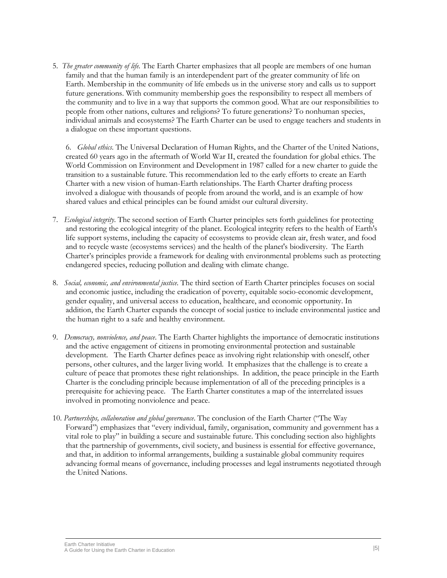5. *The greater community of life.* The Earth Charter emphasizes that all people are members of one human family and that the human family is an interdependent part of the greater community of life on Earth. Membership in the community of life embeds us in the universe story and calls us to support future generations. With community membership goes the responsibility to respect all members of the community and to live in a way that supports the common good. What are our responsibilities to people from other nations, cultures and religions? To future generations? To nonhuman species, individual animals and ecosystems? The Earth Charter can be used to engage teachers and students in a dialogue on these important questions.

6. *Global ethics*. The Universal Declaration of Human Rights, and the Charter of the United Nations, created 60 years ago in the aftermath of World War II, created the foundation for global ethics. The World Commission on Environment and Development in 1987 called for a new charter to guide the transition to a sustainable future. This recommendation led to the early efforts to create an Earth Charter with a new vision of human-Earth relationships. The Earth Charter drafting process involved a dialogue with thousands of people from around the world, and is an example of how shared values and ethical principles can be found amidst our cultural diversity.

- 7. *Ecological integrity*. The second section of Earth Charter principles sets forth guidelines for protecting and restoring the ecological integrity of the planet. Ecological integrity refers to the health of Earth's life support systems, including the capacity of ecosystems to provide clean air, fresh water, and food and to recycle waste (ecosystems services) and the health of the planet's biodiversity. The Earth Charter's principles provide a framework for dealing with environmental problems such as protecting endangered species, reducing pollution and dealing with climate change.
- 8. *Social, economic, and environmental justice.* The third section of Earth Charter principles focuses on social and economic justice, including the eradication of poverty, equitable socio-economic development, gender equality, and universal access to education, healthcare, and economic opportunity. In addition, the Earth Charter expands the concept of social justice to include environmental justice and the human right to a safe and healthy environment.
- 9. *Democracy, nonviolence, and peace*. The Earth Charter highlights the importance of democratic institutions and the active engagement of citizens in promoting environmental protection and sustainable development. The Earth Charter defines peace as involving right relationship with oneself, other persons, other cultures, and the larger living world. It emphasizes that the challenge is to create a culture of peace that promotes these right relationships. In addition, the peace principle in the Earth Charter is the concluding principle because implementation of all of the preceding principles is a prerequisite for achieving peace. The Earth Charter constitutes a map of the interrelated issues involved in promoting nonviolence and peace.
- 10. *Partnerships, collaboration and global governance*. The conclusion of the Earth Charter ("The Way Forward") emphasizes that "every individual, family, organisation, community and government has a vital role to play" in building a secure and sustainable future. This concluding section also highlights that the partnership of governments, civil society, and business is essential for effective governance, and that, in addition to informal arrangements, building a sustainable global community requires advancing formal means of governance, including processes and legal instruments negotiated through the United Nations.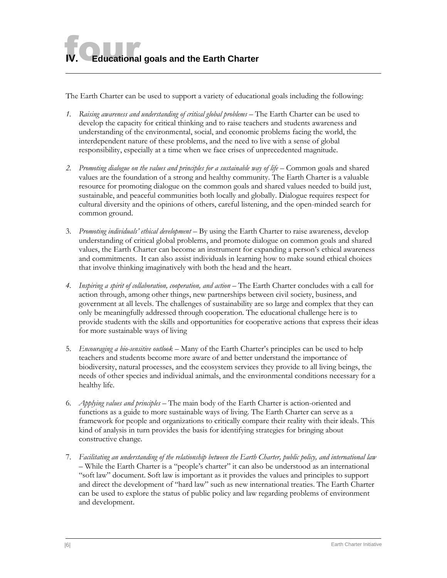**Educational goals and the Earth Charter** 

The Earth Charter can be used to support a variety of educational goals including the following:

- *1. Raising awareness and understanding of critical global problems* The Earth Charter can be used to develop the capacity for critical thinking and to raise teachers and students awareness and understanding of the environmental, social, and economic problems facing the world, the interdependent nature of these problems, and the need to live with a sense of global responsibility, especially at a time when we face crises of unprecedented magnitude.
- 2. Promoting dialogue on the values and principles for a sustainable way of life Common goals and shared values are the foundation of a strong and healthy community. The Earth Charter is a valuable resource for promoting dialogue on the common goals and shared values needed to build just, sustainable, and peaceful communities both locally and globally. Dialogue requires respect for cultural diversity and the opinions of others, careful listening, and the open-minded search for common ground.
- 3. *Promoting individuals' ethical development*  By using the Earth Charter to raise awareness, develop understanding of critical global problems, and promote dialogue on common goals and shared values, the Earth Charter can become an instrument for expanding a person's ethical awareness and commitments. It can also assist individuals in learning how to make sound ethical choices that involve thinking imaginatively with both the head and the heart.
- *4. Inspiring a spirit of collaboration, cooperation, and action* The Earth Charter concludes with a call for action through, among other things, new partnerships between civil society, business, and government at all levels. The challenges of sustainability are so large and complex that they can only be meaningfully addressed through cooperation. The educational challenge here is to provide students with the skills and opportunities for cooperative actions that express their ideas for more sustainable ways of living
- 5. *Encouraging a bio-sensitive outlook* Many of the Earth Charter's principles can be used to help teachers and students become more aware of and better understand the importance of biodiversity, natural processes, and the ecosystem services they provide to all living beings, the needs of other species and individual animals, and the environmental conditions necessary for a healthy life.
- 6. *Applying values and principles*  The main body of the Earth Charter is action-oriented and functions as a guide to more sustainable ways of living. The Earth Charter can serve as a framework for people and organizations to critically compare their reality with their ideals. This kind of analysis in turn provides the basis for identifying strategies for bringing about constructive change.
- 7. *Facilitating an understanding of the relationship between the Earth Charter, public policy, and international law* – While the Earth Charter is a "people's charter" it can also be understood as an international "soft law" document. Soft law is important as it provides the values and principles to support and direct the development of "hard law" such as new international treaties. The Earth Charter can be used to explore the status of public policy and law regarding problems of environment and development.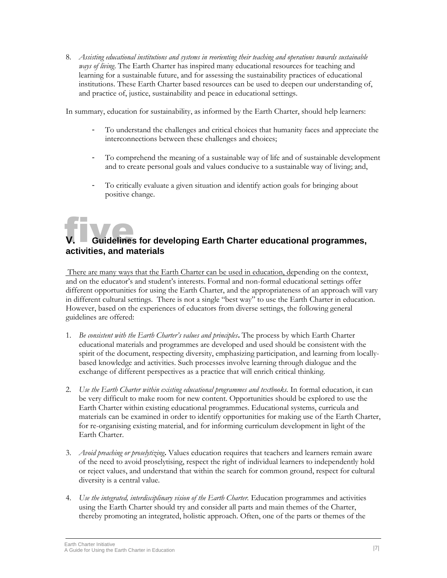8. *Assisting educational institutions and systems in reorienting their teaching and operations towards sustainable ways of living*. The Earth Charter has inspired many educational resources for teaching and learning for a sustainable future, and for assessing the sustainability practices of educational institutions. These Earth Charter based resources can be used to deepen our understanding of, and practice of, justice, sustainability and peace in educational settings.

In summary, education for sustainability, as informed by the Earth Charter, should help learners:

- To understand the challenges and critical choices that humanity faces and appreciate the interconnections between these challenges and choices;
- To comprehend the meaning of a sustainable way of life and of sustainable development and to create personal goals and values conducive to a sustainable way of living; and,
- To critically evaluate a given situation and identify action goals for bringing about positive change.

#### five **V. Guidelines for developing Earth Charter educational programmes, activities, and materials**

There are many ways that the Earth Charter can be used in education, depending on the context, and on the educator's and student's interests. Formal and non-formal educational settings offer different opportunities for using the Earth Charter, and the appropriateness of an approach will vary in different cultural settings. There is not a single "best way" to use the Earth Charter in education. However, based on the experiences of educators from diverse settings, the following general guidelines are offered:

- 1. *Be consistent with the Earth Charter's values and principles***.** The process by which Earth Charter educational materials and programmes are developed and used should be consistent with the spirit of the document, respecting diversity, emphasizing participation, and learning from locallybased knowledge and activities. Such processes involve learning through dialogue and the exchange of different perspectives as a practice that will enrich critical thinking.
- 2. *Use the Earth Charter within existing educational programmes and textbooks.* In formal education, it can be very difficult to make room for new content. Opportunities should be explored to use the Earth Charter within existing educational programmes. Educational systems, curricula and materials can be examined in order to identify opportunities for making use of the Earth Charter, for re-organising existing material, and for informing curriculum development in light of the Earth Charter.
- 3. *Avoid preaching or proselytizing***.** Values education requires that teachers and learners remain aware of the need to avoid proselytising, respect the right of individual learners to independently hold or reject values, and understand that within the search for common ground, respect for cultural diversity is a central value.
- 4. *Use the integrated, interdisciplinary vision of the Earth Charter.* Education programmes and activities using the Earth Charter should try and consider all parts and main themes of the Charter, thereby promoting an integrated, holistic approach. Often, one of the parts or themes of the